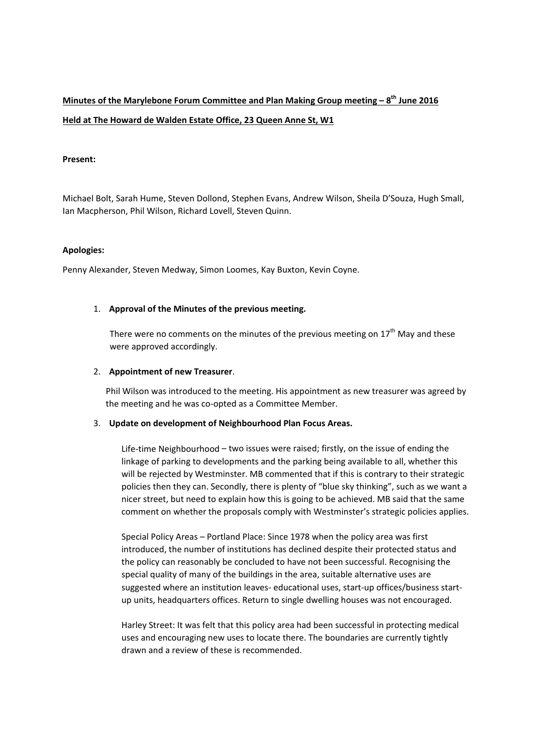# **Minutes of the Marylebone Forum Committee and Plan Making Group meeting – 8th June 2016 Held at The Howard de Walden Estate Office, 23 Queen Anne St, W1**

### **Present:**

Michael Bolt, Sarah Hume, Steven Dollond, Stephen Evans, Andrew Wilson, Sheila D'Souza, Hugh Small, Ian Macpherson, Phil Wilson, Richard Lovell, Steven Quinn.

#### **Apologies:**

Penny Alexander, Steven Medway, Simon Loomes, Kay Buxton, Kevin Coyne.

#### 1. **Approval of the Minutes of the previous meeting.**

There were no comments on the minutes of the previous meeting on  $17<sup>th</sup>$  May and these were approved accordingly.

#### 2. **Appointment of new Treasurer**.

Phil Wilson was introduced to the meeting. His appointment as new treasurer was agreed by the meeting and he was co-opted as a Committee Member.

#### 3. **Update on development of Neighbourhood Plan Focus Areas.**

Life-time Neighbourhood – two issues were raised; firstly, on the issue of ending the linkage of parking to developments and the parking being available to all, whether this will be rejected by Westminster. MB commented that if this is contrary to their strategic policies then they can. Secondly, there is plenty of "blue sky thinking", such as we want a nicer street, but need to explain how this is going to be achieved. MB said that the same comment on whether the proposals comply with Westminster's strategic policies applies.

Special Policy Areas – Portland Place: Since 1978 when the policy area was first introduced, the number of institutions has declined despite their protected status and the policy can reasonably be concluded to have not been successful. Recognising the special quality of many of the buildings in the area, suitable alternative uses are suggested where an institution leaves‐ educational uses, start‐up offices/business start‐ up units, headquarters offices. Return to single dwelling houses was not encouraged.

Harley Street: It was felt that this policy area had been successful in protecting medical uses and encouraging new uses to locate there. The boundaries are currently tightly drawn and a review of these is recommended.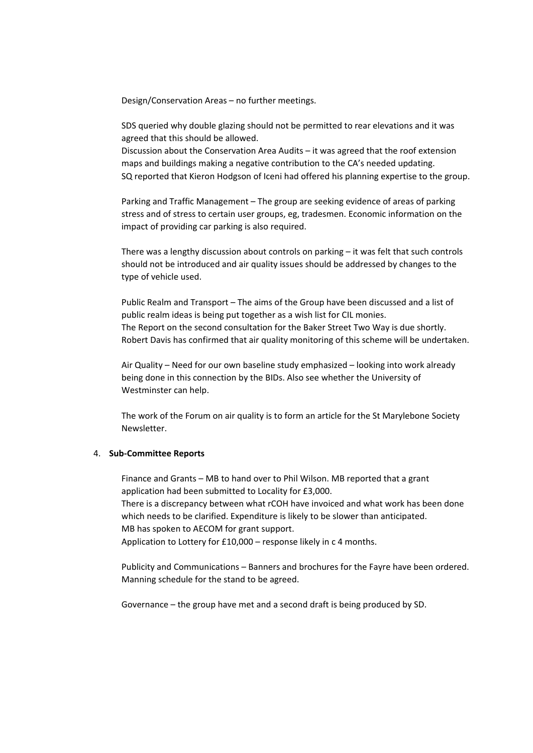Design/Conservation Areas – no further meetings.

SDS queried why double glazing should not be permitted to rear elevations and it was agreed that this should be allowed.

Discussion about the Conservation Area Audits – it was agreed that the roof extension maps and buildings making a negative contribution to the CA's needed updating. SQ reported that Kieron Hodgson of Iceni had offered his planning expertise to the group.

Parking and Traffic Management – The group are seeking evidence of areas of parking stress and of stress to certain user groups, eg, tradesmen. Economic information on the impact of providing car parking is also required.

There was a lengthy discussion about controls on parking – it was felt that such controls should not be introduced and air quality issues should be addressed by changes to the type of vehicle used.

Public Realm and Transport – The aims of the Group have been discussed and a list of public realm ideas is being put together as a wish list for CIL monies. The Report on the second consultation for the Baker Street Two Way is due shortly. Robert Davis has confirmed that air quality monitoring of this scheme will be undertaken.

Air Quality – Need for our own baseline study emphasized – looking into work already being done in this connection by the BIDs. Also see whether the University of Westminster can help.

The work of the Forum on air quality is to form an article for the St Marylebone Society Newsletter.

#### 4. **Sub‐Committee Reports**

Finance and Grants – MB to hand over to Phil Wilson. MB reported that a grant application had been submitted to Locality for £3,000. There is a discrepancy between what rCOH have invoiced and what work has been done which needs to be clarified. Expenditure is likely to be slower than anticipated. MB has spoken to AECOM for grant support.

Application to Lottery for £10,000 – response likely in c 4 months.

Publicity and Communications – Banners and brochures for the Fayre have been ordered. Manning schedule for the stand to be agreed.

Governance – the group have met and a second draft is being produced by SD.